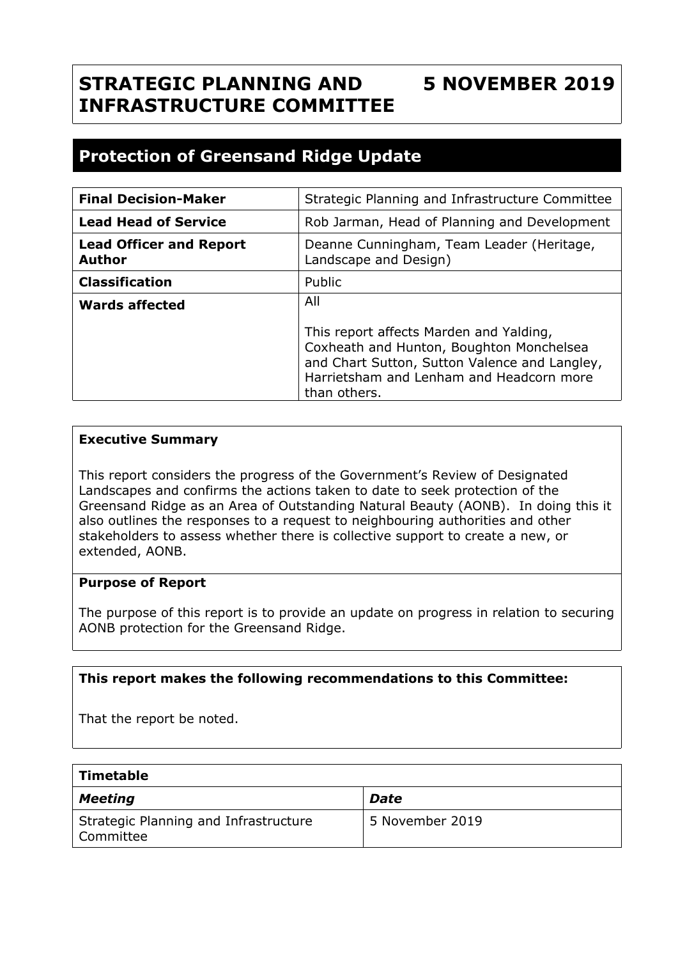## **STRATEGIC PLANNING AND INFRASTRUCTURE COMMITTEE 5 NOVEMBER 2019**

# **Protection of Greensand Ridge Update**

| <b>Final Decision-Maker</b>                     | Strategic Planning and Infrastructure Committee                                                                                                                                                  |
|-------------------------------------------------|--------------------------------------------------------------------------------------------------------------------------------------------------------------------------------------------------|
| <b>Lead Head of Service</b>                     | Rob Jarman, Head of Planning and Development                                                                                                                                                     |
| <b>Lead Officer and Report</b><br><b>Author</b> | Deanne Cunningham, Team Leader (Heritage,<br>Landscape and Design)                                                                                                                               |
| <b>Classification</b>                           | Public                                                                                                                                                                                           |
| <b>Wards affected</b>                           | All                                                                                                                                                                                              |
|                                                 | This report affects Marden and Yalding,<br>Coxheath and Hunton, Boughton Monchelsea<br>and Chart Sutton, Sutton Valence and Langley,<br>Harrietsham and Lenham and Headcorn more<br>than others. |

## **Executive Summary**

This report considers the progress of the Government's Review of Designated Landscapes and confirms the actions taken to date to seek protection of the Greensand Ridge as an Area of Outstanding Natural Beauty (AONB). In doing this it also outlines the responses to a request to neighbouring authorities and other stakeholders to assess whether there is collective support to create a new, or extended, AONB.

## **Purpose of Report**

The purpose of this report is to provide an update on progress in relation to securing AONB protection for the Greensand Ridge.

#### **This report makes the following recommendations to this Committee:**

That the report be noted.

| Timetable                                          |                 |
|----------------------------------------------------|-----------------|
| <b>Meeting</b>                                     | <b>Date</b>     |
| Strategic Planning and Infrastructure<br>Committee | 5 November 2019 |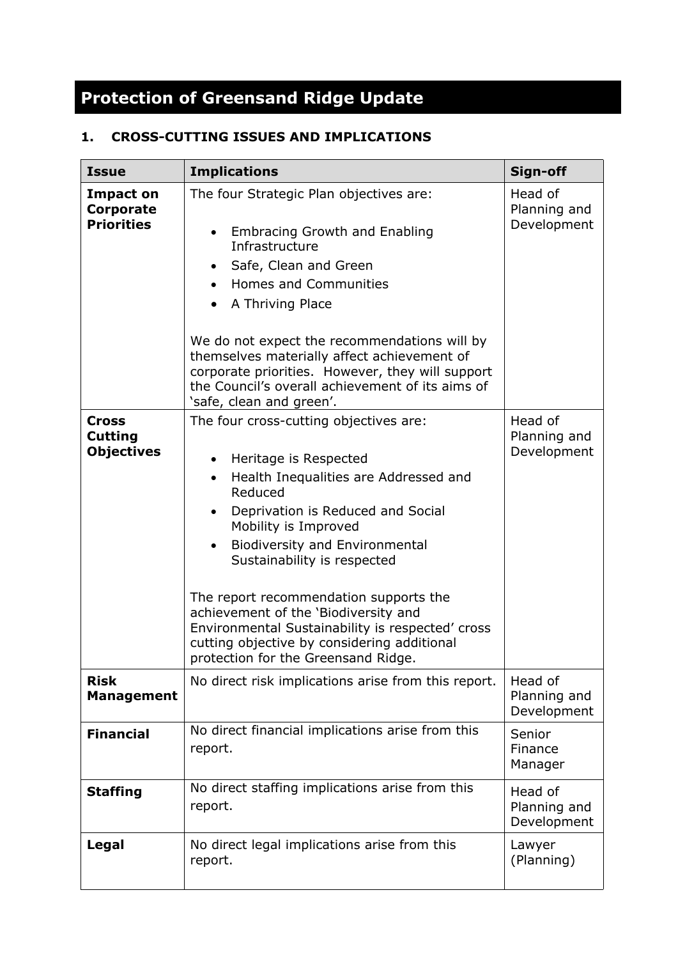# **Protection of Greensand Ridge Update**

## **1. CROSS-CUTTING ISSUES AND IMPLICATIONS**

| <b>Issue</b>                                        | <b>Implications</b>                                                                                                                                                                                                                                                                                                                                                                                                                                                                                                         | Sign-off                               |
|-----------------------------------------------------|-----------------------------------------------------------------------------------------------------------------------------------------------------------------------------------------------------------------------------------------------------------------------------------------------------------------------------------------------------------------------------------------------------------------------------------------------------------------------------------------------------------------------------|----------------------------------------|
| <b>Impact on</b><br>Corporate<br><b>Priorities</b>  | The four Strategic Plan objectives are:<br><b>Embracing Growth and Enabling</b><br>Infrastructure<br>Safe, Clean and Green<br>Homes and Communities<br>$\bullet$<br>A Thriving Place<br>We do not expect the recommendations will by<br>themselves materially affect achievement of<br>corporate priorities. However, they will support<br>the Council's overall achievement of its aims of<br>'safe, clean and green'.                                                                                                     | Head of<br>Planning and<br>Development |
| <b>Cross</b><br><b>Cutting</b><br><b>Objectives</b> | The four cross-cutting objectives are:<br>Heritage is Respected<br>Health Inequalities are Addressed and<br>$\bullet$<br>Reduced<br>Deprivation is Reduced and Social<br>$\bullet$<br>Mobility is Improved<br><b>Biodiversity and Environmental</b><br>$\bullet$<br>Sustainability is respected<br>The report recommendation supports the<br>achievement of the 'Biodiversity and<br>Environmental Sustainability is respected' cross<br>cutting objective by considering additional<br>protection for the Greensand Ridge. | Head of<br>Planning and<br>Development |
| <b>Risk</b><br><b>Management</b>                    | No direct risk implications arise from this report.                                                                                                                                                                                                                                                                                                                                                                                                                                                                         | Head of<br>Planning and<br>Development |
| <b>Financial</b>                                    | No direct financial implications arise from this<br>report.                                                                                                                                                                                                                                                                                                                                                                                                                                                                 | Senior<br>Finance<br>Manager           |
| <b>Staffing</b>                                     | No direct staffing implications arise from this<br>report.                                                                                                                                                                                                                                                                                                                                                                                                                                                                  | Head of<br>Planning and<br>Development |
| Legal                                               | No direct legal implications arise from this<br>report.                                                                                                                                                                                                                                                                                                                                                                                                                                                                     | Lawyer<br>(Planning)                   |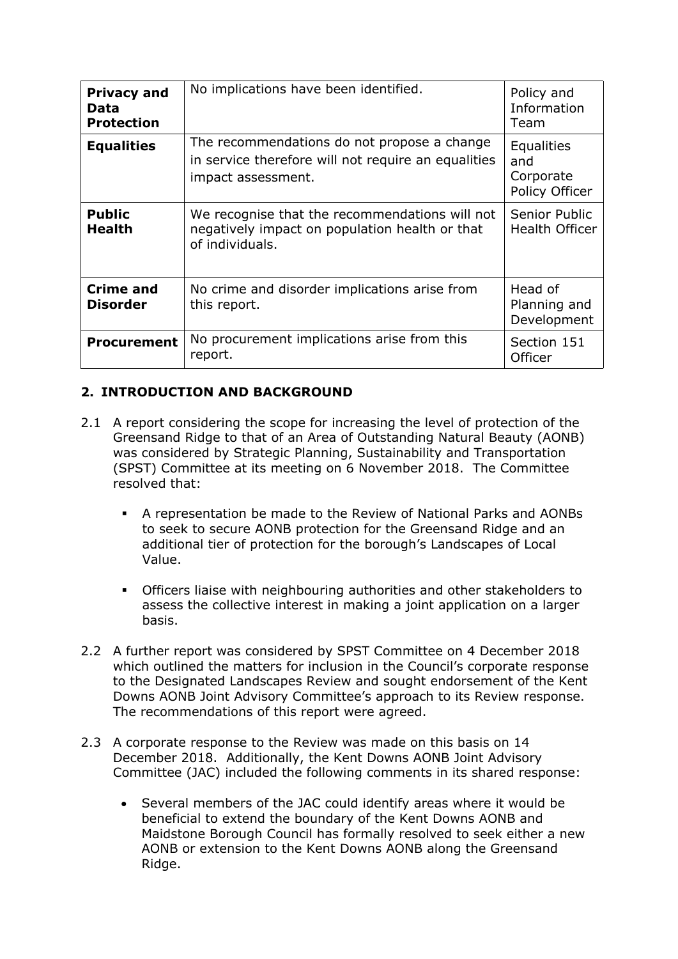| <b>Privacy and</b><br>Data<br><b>Protection</b> | No implications have been identified.                                                                                    | Policy and<br>Information<br>Team                       |
|-------------------------------------------------|--------------------------------------------------------------------------------------------------------------------------|---------------------------------------------------------|
| <b>Equalities</b>                               | The recommendations do not propose a change<br>in service therefore will not require an equalities<br>impact assessment. | <b>Equalities</b><br>and<br>Corporate<br>Policy Officer |
| <b>Public</b><br><b>Health</b>                  | We recognise that the recommendations will not<br>negatively impact on population health or that<br>of individuals.      | Senior Public<br><b>Health Officer</b>                  |
| <b>Crime and</b><br><b>Disorder</b>             | No crime and disorder implications arise from<br>this report.                                                            | Head of<br>Planning and<br>Development                  |
| <b>Procurement</b>                              | No procurement implications arise from this<br>report.                                                                   | Section 151<br>Officer                                  |

## **2. INTRODUCTION AND BACKGROUND**

- 2.1 A report considering the scope for increasing the level of protection of the Greensand Ridge to that of an Area of Outstanding Natural Beauty (AONB) was considered by Strategic Planning, Sustainability and Transportation (SPST) Committee at its meeting on 6 November 2018. The Committee resolved that:
	- A representation be made to the Review of National Parks and AONBs to seek to secure AONB protection for the Greensand Ridge and an additional tier of protection for the borough's Landscapes of Local Value.
	- Officers liaise with neighbouring authorities and other stakeholders to assess the collective interest in making a joint application on a larger basis.
- 2.2 A further report was considered by SPST Committee on 4 December 2018 which outlined the matters for inclusion in the Council's corporate response to the Designated Landscapes Review and sought endorsement of the Kent Downs AONB Joint Advisory Committee's approach to its Review response. The recommendations of this report were agreed.
- 2.3 A corporate response to the Review was made on this basis on 14 December 2018. Additionally, the Kent Downs AONB Joint Advisory Committee (JAC) included the following comments in its shared response:
	- Several members of the JAC could identify areas where it would be beneficial to extend the boundary of the Kent Downs AONB and Maidstone Borough Council has formally resolved to seek either a new AONB or extension to the Kent Downs AONB along the Greensand Ridge.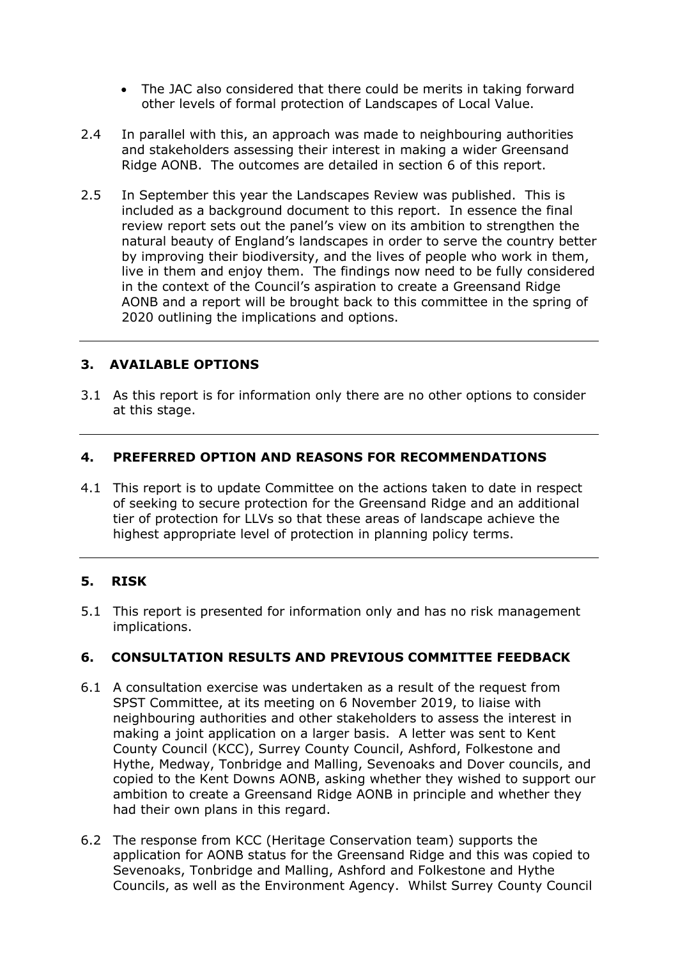- The JAC also considered that there could be merits in taking forward other levels of formal protection of Landscapes of Local Value.
- 2.4 In parallel with this, an approach was made to neighbouring authorities and stakeholders assessing their interest in making a wider Greensand Ridge AONB. The outcomes are detailed in section 6 of this report.
- 2.5 In September this year the Landscapes Review was published. This is included as a background document to this report. In essence the final review report sets out the panel's view on its ambition to strengthen the natural beauty of England's landscapes in order to serve the country better by improving their biodiversity, and the lives of people who work in them, live in them and enjoy them. The findings now need to be fully considered in the context of the Council's aspiration to create a Greensand Ridge AONB and a report will be brought back to this committee in the spring of 2020 outlining the implications and options.

## **3. AVAILABLE OPTIONS**

3.1 As this report is for information only there are no other options to consider at this stage.

## **4. PREFERRED OPTION AND REASONS FOR RECOMMENDATIONS**

4.1 This report is to update Committee on the actions taken to date in respect of seeking to secure protection for the Greensand Ridge and an additional tier of protection for LLVs so that these areas of landscape achieve the highest appropriate level of protection in planning policy terms.

#### **5. RISK**

5.1 This report is presented for information only and has no risk management implications.

## **6. CONSULTATION RESULTS AND PREVIOUS COMMITTEE FEEDBACK**

- 6.1 A consultation exercise was undertaken as a result of the request from SPST Committee, at its meeting on 6 November 2019, to liaise with neighbouring authorities and other stakeholders to assess the interest in making a joint application on a larger basis. A letter was sent to Kent County Council (KCC), Surrey County Council, Ashford, Folkestone and Hythe, Medway, Tonbridge and Malling, Sevenoaks and Dover councils, and copied to the Kent Downs AONB, asking whether they wished to support our ambition to create a Greensand Ridge AONB in principle and whether they had their own plans in this regard.
- 6.2 The response from KCC (Heritage Conservation team) supports the application for AONB status for the Greensand Ridge and this was copied to Sevenoaks, Tonbridge and Malling, Ashford and Folkestone and Hythe Councils, as well as the Environment Agency. Whilst Surrey County Council